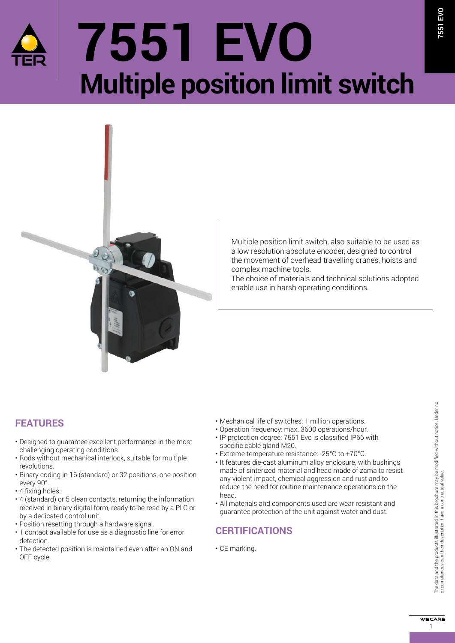# **7551 EVO Multiple position limit switch**



Multiple position limit switch, also suitable to be used as a low resolution absolute encoder, designed to control the movement of overhead travelling cranes, hoists and complex machine tools.

The choice of materials and technical solutions adopted enable use in harsh operating conditions.

#### **FEATURES**

- Designed to quarantee excellent performance in the most challenging operating conditions.
- Rods without mechanical interlock, suitable for multiple revolutions.
- Binary coding in 16 (standard) or 32 positions, one position every 90°.
- 4 fixing holes.
- 4 (standard) or 5 clean contacts, returning the information received in binary digital form, ready to be read by a PLC or by a dedicated control unit.
- Position resetting through a hardware signal.
- 1 contact available for use as a diagnostic line for error detection.
- The detected position is maintained even after an ON and OFF cycle.
- Mechanical life of switches: 1 million operations.
- Operation frequency: max. 3600 operations/hour.
- IP protection degree: 7551 Evo is classified IP66 with specific cable gland M20.
- Extreme temperature resistance: -25°C to +70°C.
- It features die-cast aluminum alloy enclosure, with bushings made of sinterized material and head made of zama to resist any violent impact, chemical aggression and rust and to reduce the need for routine maintenance operations on the head.
- All materials and components used are wear resistant and guarantee protection of the unit against water and dust.

#### **CERTIFICATIONS**

• CE marking.

**7551 EVO**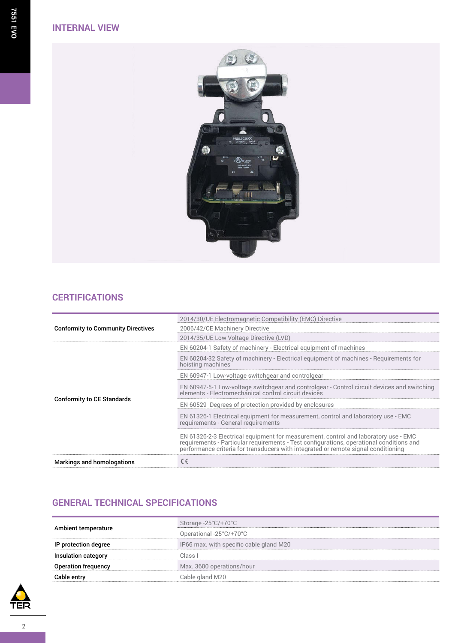**7551 EVO 7551 EVO**

#### **INTERNAL VIEW**



### **CERTIFICATIONS**

|                                           | 2014/30/UE Electromagnetic Compatibility (EMC) Directive                                                                                                                                                                                                              |
|-------------------------------------------|-----------------------------------------------------------------------------------------------------------------------------------------------------------------------------------------------------------------------------------------------------------------------|
| <b>Conformity to Community Directives</b> | 2006/42/CE Machinery Directive                                                                                                                                                                                                                                        |
|                                           | 2014/35/UE Low Voltage Directive (LVD)                                                                                                                                                                                                                                |
| <b>Conformity to CE Standards</b>         | EN 60204-1 Safety of machinery - Electrical equipment of machines                                                                                                                                                                                                     |
|                                           | EN 60204-32 Safety of machinery - Electrical equipment of machines - Requirements for<br>hoisting machines                                                                                                                                                            |
|                                           | EN 60947-1 Low-voltage switchgear and controlgear                                                                                                                                                                                                                     |
|                                           | EN 60947-5-1 Low-voltage switchgear and controlgear - Control circuit devices and switching elements - Electromechanical control circuit devices                                                                                                                      |
|                                           | EN 60529 Degrees of protection provided by enclosures                                                                                                                                                                                                                 |
|                                           | EN 61326-1 Electrical equipment for measurement, control and laboratory use - EMC<br>requirements - General requirements                                                                                                                                              |
|                                           | EN 61326-2-3 Electrical equipment for measurement, control and laboratory use - EMC<br>requirements - Particular requirements - Test configurations, operational conditions and<br>performance criteria for transducers with integrated or remote signal conditioning |
| <b>Markings and homologations</b>         | CE                                                                                                                                                                                                                                                                    |

## **GENERAL TECHNICAL SPECIFICATIONS**

| Ambient temperature        | Storage - $25^{\circ}$ C/+70 $^{\circ}$ C |  |  |  |
|----------------------------|-------------------------------------------|--|--|--|
|                            | Operational -25°C/+70°C                   |  |  |  |
| IP protection degree       | IP66 max. with specific cable gland M20   |  |  |  |
| Insulation category        | Class I                                   |  |  |  |
| <b>Operation frequency</b> | Max. 3600 operations/hour                 |  |  |  |
| Cable entry                | Cable gland M20                           |  |  |  |

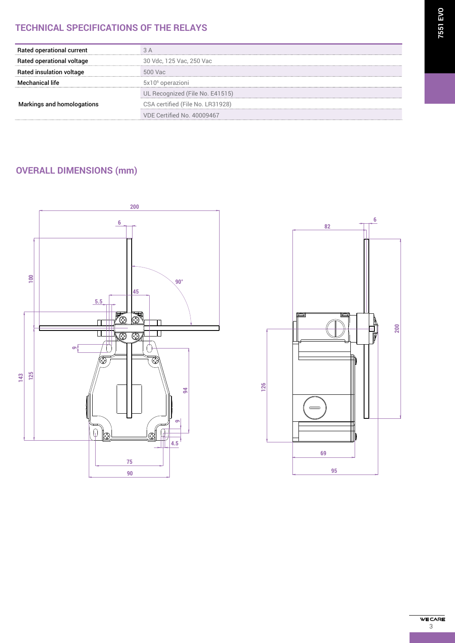## **TECHNICAL SPECIFICATIONS OF THE RELAYS**

| Rated operational current         | 3 A                              |  |  |
|-----------------------------------|----------------------------------|--|--|
| Rated operational voltage         | 30 Vdc. 125 Vac. 250 Vac         |  |  |
| <b>Rated insulation voltage</b>   | 500 Vac                          |  |  |
| Mechanical life                   | 5x10 <sup>6</sup> operazioni     |  |  |
| <b>Markings and homologations</b> | UL Recognized (File No. E41515)  |  |  |
|                                   | CSA certified (File No. LR31928) |  |  |
|                                   | VDE Certified No. 40009467       |  |  |

#### **OVERALL DIMENSIONS (mm)**